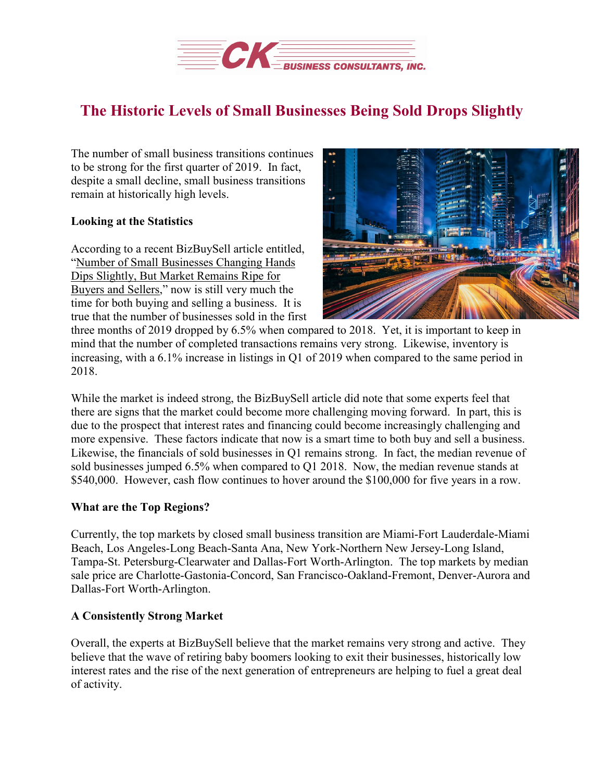

## **The Historic Levels of Small Businesses Being Sold Drops Slightly**

The number of small business transitions continues to be strong for the first quarter of 2019. In fact, despite a small decline, small business transitions remain at historically high levels.

## **Looking at the Statistics**

According to a recent BizBuySell article entitled, "Number of Small [Businesses](https://www.bizbuysell.com/news/bizbuysell-2019-first-quarter-insight-report) Changing Hands Dips Slightly, But Market [Remains](https://www.bizbuysell.com/news/bizbuysell-2019-first-quarter-insight-report) Ripe for Buyers and [Sellers,](https://www.bizbuysell.com/news/bizbuysell-2019-first-quarter-insight-report)" now is still very much the time for both buying and selling a business. It is true that the number of businesses sold in the first



three months of 2019 dropped by 6.5% when compared to 2018. Yet, it is important to keep in mind that the number of completed transactions remains very strong. Likewise, inventory is increasing, with a 6.1% increase in listings in Q1 of 2019 when compared to the same period in 2018.

While the market is indeed strong, the BizBuySell article did note that some experts feel that there are signs that the market could become more challenging moving forward. In part, this is due to the prospect that interest rates and financing could become increasingly challenging and more expensive. These factors indicate that now is a smart time to both buy and sell a business. Likewise, the financials of sold businesses in Q1 remains strong. In fact, the median revenue of sold businesses jumped 6.5% when compared to Q1 2018. Now, the median revenue stands at \$540,000. However, cash flow continues to hover around the \$100,000 for five years in a row.

## **What are the Top Regions?**

Currently, the top markets by closed small business transition are Miami-Fort Lauderdale-Miami Beach, Los Angeles-Long Beach-Santa Ana, New York-Northern New Jersey-Long Island, Tampa-St. Petersburg-Clearwater and Dallas-Fort Worth-Arlington. The top markets by median sale price are Charlotte-Gastonia-Concord, San Francisco-Oakland-Fremont, Denver-Aurora and Dallas-Fort Worth-Arlington.

## **A Consistently Strong Market**

Overall, the experts at BizBuySell believe that the market remains very strong and active. They believe that the wave of retiring baby boomers looking to exit their businesses, historically low interest rates and the rise of the next generation of entrepreneurs are helping to fuel a great deal of activity.